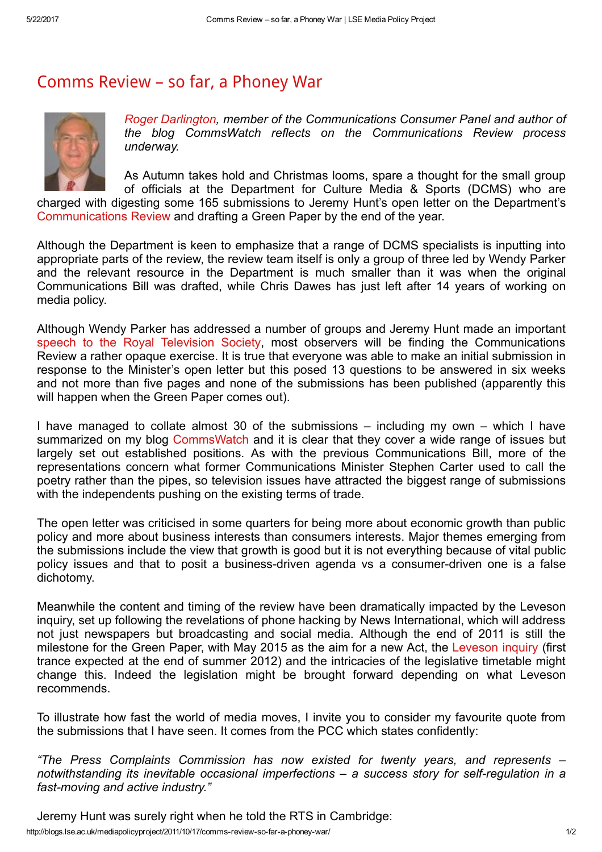## [Comms](http://blogs.lse.ac.uk/mediapolicyproject/2011/10/17/comms-review-so-far-a-phoney-war/) Review – so far, a Phoney War



Roger [Darlington,](http://www.rogerdarlington.me.uk/commswatch/?page_id=2) member of the Communications Consumer Panel and author of the blog CommsWatch reflects on the Communications Review process underway.

As Autumn takes hold and Christmas looms, spare a thought for the small group of officials at the Department for Culture Media & Sports (DCMS) who are

charged with digesting some 165 submissions to Jeremy Hunt's open letter on the Department's [Communications](http://www.culture.gov.uk/what_we_do/telecommunications_and_online/8109.aspx) Review and drafting a Green Paper by the end of the year.

Although the Department is keen to emphasize that a range of DCMS specialists is inputting into appropriate parts of the review, the review team itself is only a group of three led by Wendy Parker and the relevant resource in the Department is much smaller than it was when the original Communications Bill was drafted, while Chris Dawes has just left after 14 years of working on media policy.

Although Wendy Parker has addressed a number of groups and Jeremy Hunt made an important speech to the Royal [Television](http://www.culture.gov.uk/news/ministers_speeches/8428.aspx) Society, most observers will be finding the Communications Review a rather opaque exercise. It is true that everyone was able to make an initial submission in response to the Minister's open letter but this posed 13 questions to be answered in six weeks and not more than five pages and none of the submissions has been published (apparently this will happen when the Green Paper comes out).

I have managed to collate almost 30 of the submissions – including my own – which I have summarized on my blog [CommsWatch](http://www.rogerdarlington.me.uk/commswatch/?cat=20) and it is clear that they cover a wide range of issues but largely set out established positions. As with the previous Communications Bill, more of the representations concern what former Communications Minister Stephen Carter used to call the poetry rather than the pipes, so television issues have attracted the biggest range of submissions with the independents pushing on the existing terms of trade.

The open letter was criticised in some quarters for being more about economic growth than public policy and more about business interests than consumers interests. Major themes emerging from the submissions include the view that growth is good but it is not everything because of vital public policy issues and that to posit a business-driven agenda vs a consumer-driven one is a false dichotomy.

Meanwhile the content and timing of the review have been dramatically impacted by the Leveson inquiry, set up following the revelations of phone hacking by News International, which will address not just newspapers but broadcasting and social media. Although the end of 2011 is still the milestone for the Green Paper, with May 2015 as the aim for a new Act, the [Leveson](http://www.levesoninquiry.org.uk/) inquiry (first trance expected at the end of summer 2012) and the intricacies of the legislative timetable might change this. Indeed the legislation might be brought forward depending on what Leveson recommends.

To illustrate how fast the world of media moves, I invite you to consider my favourite quote from the submissions that I have seen. It comes from the PCC which states confidently:

"The Press Complaints Commission has now existed for twenty years, and represents – notwithstanding its inevitable occasional imperfections – a success story for self-regulation in a fast-moving and active industry."

Jeremy Hunt was surely right when he told the RTS in Cambridge: